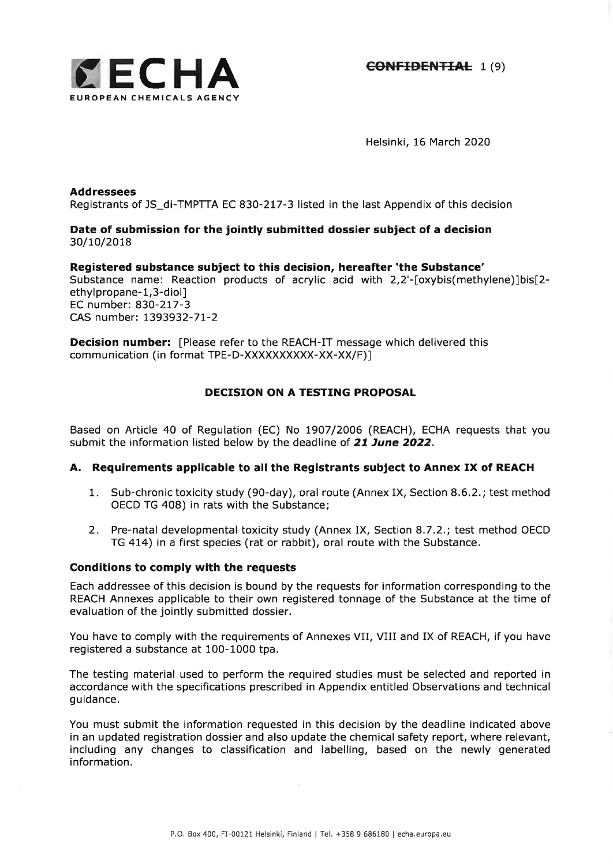

Helsinki, 16 March 2020

#### Addressees

Registrants of JS\_d|-TMPTTA EC 830-217-3 listed in the last Appendix of this decision

# Date of submission for the jointly submitted dossier subject of a decision 30/10/2018

# Registered substance subject to this decision, hereafter'the Substance'

Substance name: Reaction products of acrylic acid with 2,2'-[oxybis(methylene)]bis[2ethylpropane-1,3-diol] EC number: B3O-277-3 CAS number: 1393932-71-2

Decision number: [Please refer to the REACH-IT message which delivered this communication (in format TPE-D-XXXXXXXXXX-XX-XX/F)l

# DECISION ON A TESTING PROPOSAL

Based on Article 40 of Regulation (EC) No l9O7/2006 (REACH), ECHA requests that you submit the information listed below by the deadline of 21 June 2022.

### A. Requirements applicable to all the Registrants subject to Annex IX of REACH

- 1. Sub-chronic toxicity study (90-day), oral route (Annex IX, Section 8.6.2.; test method OECD TG 408) in rats with the Substance;
- Pre-natal developmental toxicity study (Annex IX, Section 8.7.2.; test method OECD 2 TG 414) in a first species (rat or rabbit), oral route with the Substance.

### Conditions to comply with the requests

Each addressee of this decision is bound by the requests for information corresponding to the REACH Annexes applicable to their own registered tonnage of the Substance at the time of evaluation of the jointly submitted dossier.

You have to comply with the requirements of Annexes VII, VIII and IX of REACH, if you have registered a substance at 100-1000 tpa.

The testing material used to perform the required studies must be selected and reported in accordance with the specifications prescribed in Appendix entitled Observations and technical guidance,

You must submit the information requested in this decision by the deadline indicated above in an updated registration dossier and also update the chemical safety report, where relevant, including any changes to classification and labelling, based on the newly generated information.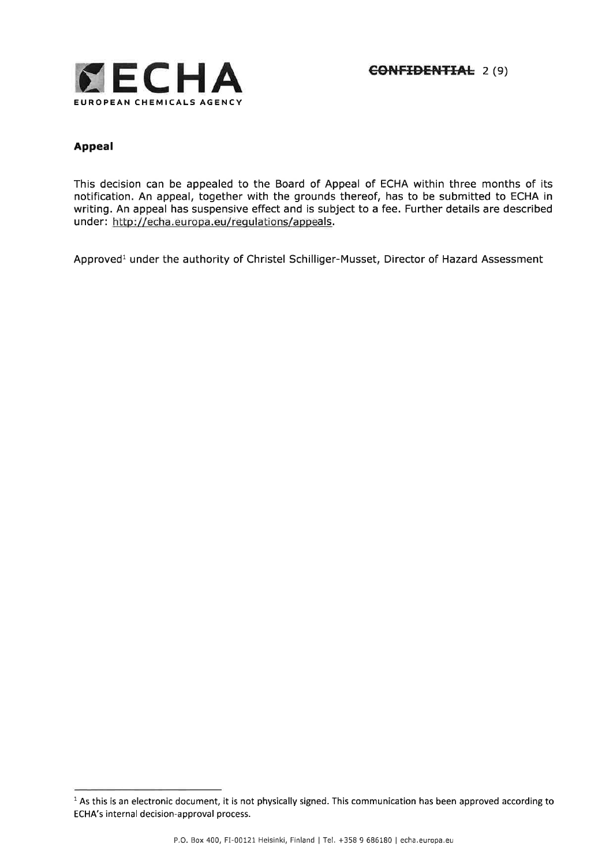

# Appeal

This decision can be appealed to the Board of Appeal of ECHA within three months of its notification, An appeal, together with the grounds thereof, has to be submitted to ECHA in writing. An appeal has suspensive effect and is subject to a fee. Further details are described under: http://echa.europa.eu/regulations/appeals.

Approved<sup>1</sup> under the authority of Christel Schilliger-Musset, Director of Hazard Assessment

 $1$  As this is an electronic document, it is not physically signed. This communication has been approved according to ECHA's internal decision-approval process.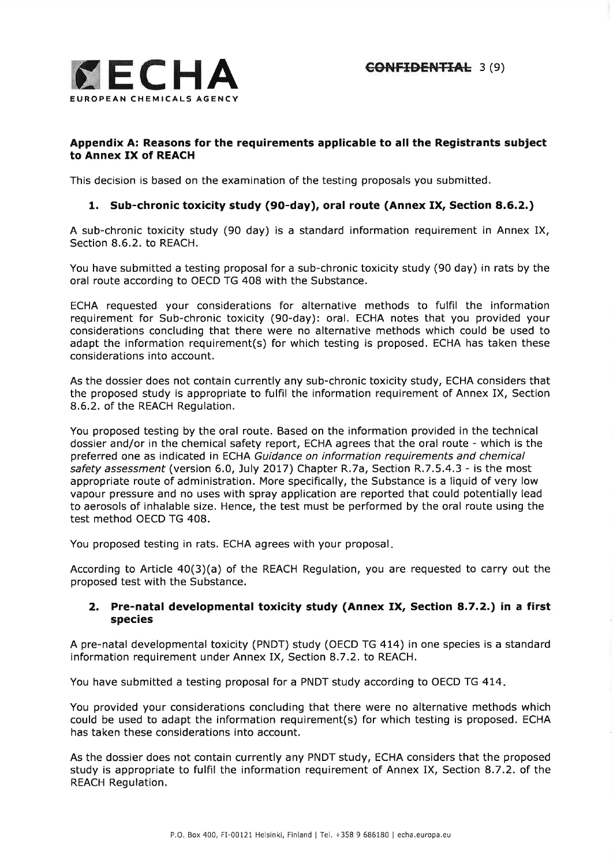

## Appendix A: Reasons for the requirements applicable to all the Registrants subject to Annex IX of REACH

This decision is based on the examination of the testing proposals you submitted.

# 1. Sub-chronic toxicity study (9o-day), oral route (Annex IX, Section 8.5.2.)

A sub-chronic toxicity study (90 day) is a standard information requirement in Annex IX, Section 8.6.2. to REACH.

You have submitted a testing proposal for a sub-chronic toxicity study (90 day) in rats by the oral route according to OECD TG 408 with the Substance.

ECHA requested your considerations for alternative methods to fulfil the information requirement for Sub-chronic toxicity (90-day): oral. ECHA notes that you provided your considerations concluding that there were no alternative methods which could be used to adapt the information requirement(s) for which testing is proposed. ECHA has taken these considerations into account.

As the dossier does not contain currently any sub-chronic toxicity study, ECHA considers that the proposed study is appropriate to fulfil the information requirement of Annex IX, Section 8.6.2. of the REACH Regulation.

You proposed testing by the oral route. Based on the information provided in the technical dossier and/or in the chemical safety report, ECHA agrees that the oral route - which is the preferred one as indicated in ECHA Guidance on information requirements and chemical safety assessment (version 6.0, July 2017) Chapter R.7a, Section R.7.5.4.3 - is the most appropriate route of administration. More specifically, the Substance is a liquid of very low vapour pressure and no uses with spray application are reported that could potentially lead to aerosols of inhalable size. Hence, the test must be performed by the oral route using the test method OECD TG 408.

You proposed testing in rats. ECHA agrees with your proposal

According to Article 40(3)(a) of the REACH Regulation, you are requested to carry out the proposed test with the Substance.

# 2. Pre-natal developmental toxicity study (Annex IX, Section 8.7.2.) in a first species

A pre-natal developmental toxicity (PNDT) study (OECD TG 414) in one species is a standard information requirement under Annex IX, Section 8.7.2. to REACH,

You have submitted a testing proposal for a PNDT study according to OECD TG 474

You provided your considerations concluding that there were no alternative methods which could be used to adapt the information requirement(s) for which testing is proposed. ECHA has taken these considerations into account.

As the dossier does not contain currently any PNDT study, ECHA considers that the proposed study is appropriate to fulfil the information requirement of Annex IX, Section 8.7.2. of the REACH Regulation,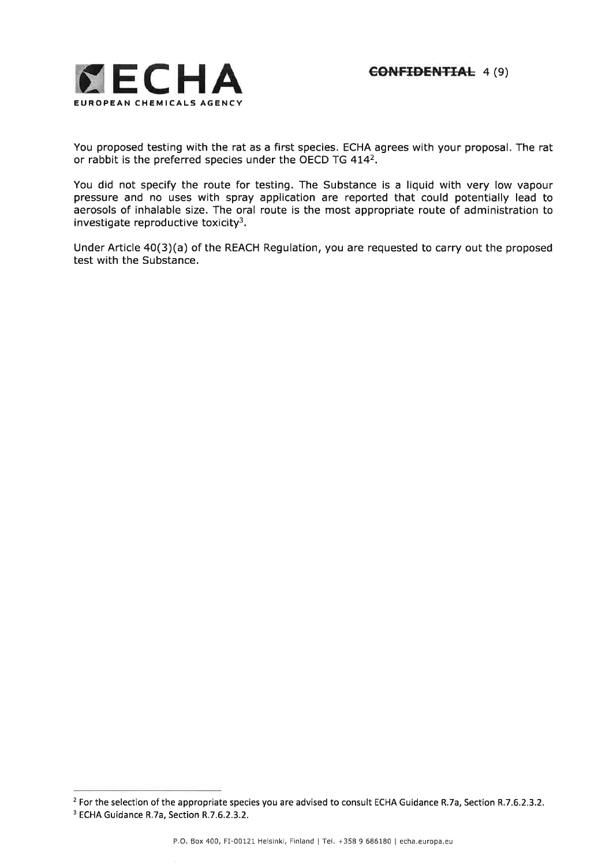

You proposed testing with the rat as a first species. ECHA agrees with your proposal. The rat or rabbit is the preferred species under the OECD TG 4142.

You did not specify the route for testing. The Substance is a liquid with very low vapour pressure and no uses with spray application are reported that could potentially lead to aerosols of inhalable size. The oral route is the most appropriate route of administration to investigate reproductive toxicity<sup>3</sup>.

Under Article 40(3)(a) of the REACH Regulation, you are requested to carry out the proposed test with the Substance.

<sup>&</sup>lt;sup>2</sup> For the selection of the appropriate species you are advised to consult ECHA Guidance R.7a, Section R.7.6.2.3.2. <sup>3</sup> ECHA Guidance R.7a, Section R.7.6.2.3.2.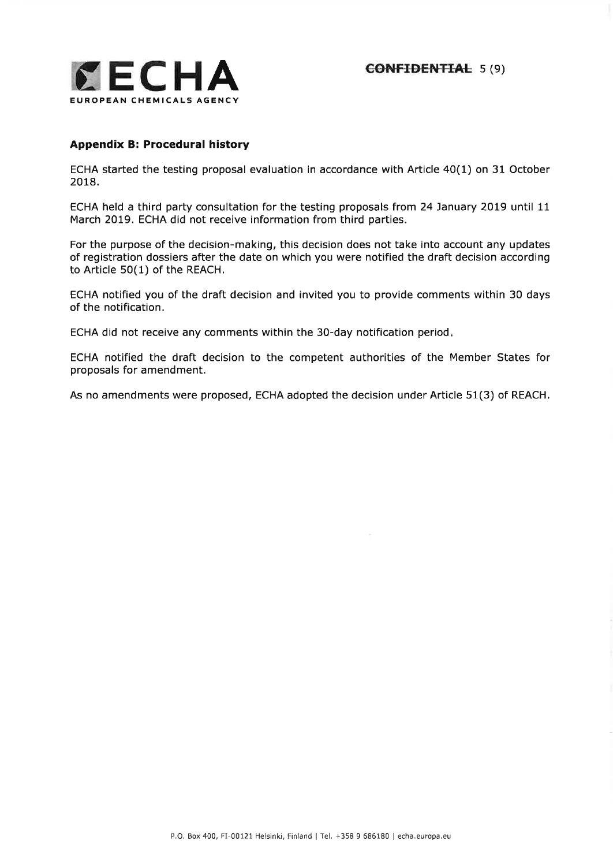

### Appendix B: Procedural history

ECHA started the testing proposal evaluation in accordance with Article 40(1) on 31 October 2018.

ECHA held a third party consultation for the testing proposals from 24 January 2019 until 11 March 2019. ECHA did not receive information from third parties.

For the purpose of the decision-making, this decision does not take into account any updates of registration dossiers after the date on which you were notified the draft decision according to Article 50(1) of the REACH,

ECHA notified you of the draft decision and invited you to provide comments within 30 days of the notification.

ECHA did not receive any comments within the 30-day notification period

ECHA notified the draft decision to the competent authorities of the Member States for proposals for amendment.

As no amendments were proposed, ECHA adopted the decision under Article 51(3) of REACH,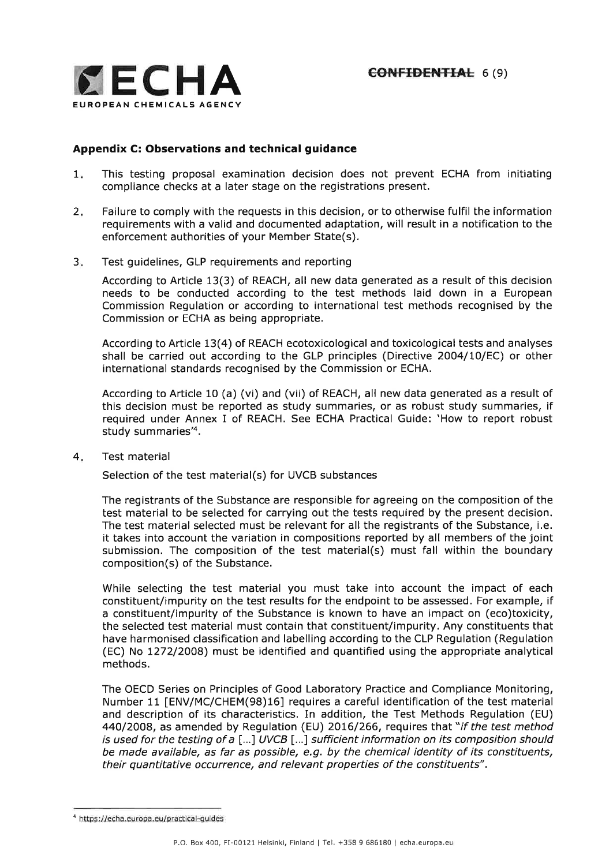

### Appendix C: Observations and technical guidance

- This testing proposal examination decision does not prevent ECHA from initiating compliance checks at a later stage on the registrations present.  $1.$
- Failure to comply with the requests in this decision, or to otherwise fulfil the information requirements with a valid and documented adaptation, will result in a notification to the enforcement authorities of your Member State(s). 2.
- Test guidelines, GLP requirements and reporting  $3.$

According to Article 13(3) of REACH, all new data generated as a result of this decision needs to be conducted according to the test methods laid down in a European Commission Regulation or according to international test methods recognised by the Commission or ECHA as being appropriate.

According to Article 13(4) of REACH ecotoxicological and toxicological tests and analyses shall be carried out according to the GLP principles (Directive 2OO4/LO/EC) or other international standards recognised by the Commission or ECHA.

According to Article 10 (a) (vi) and (vii) of REACH, all new data generated as a result of this decision must be reported as study summaries, or as robust study summaries, if required under Annex I of REACH. See ECHA Practical Guide:'How to report robust study summaries'4.

Test material 4

Selection of the test material(s) for UVCB substances

The registrants of the Substance are responsible for agreeing on the composition of the test material to be selected for carrying out the tests required by the present decision. The test material selected must be relevant for all the registrants of the Substance, i.e. it takes into account the variation in compositions reported by all members of the joint submission. The composition of the test material(s) must fall within the boundary composition(s) of the Substance.

While selecting the test material you must take into account the impact of each constituent/impurity on the test results for the endpoint to be assessed. For example, if a constituent/impurity of the Substance is known to have an impact on (eco)toxicity, the selected test material must contain that constituent/impurity. Any constituents that have harmonised classification and labelling according to the CLP Regulation (Regulation (EC) No 1272/2OOB) must be identified and quantified using the appropriate analytical methods.

The OECD Series on Principles of Good Laboratory Practice and Compliance Monitoring, Number 11 [ENV/MC/CHEM(98)16] requires a careful identification of the test material and description of its characteristics. In addition, the Test Methods Regulation (EU) 440/2008, as amended by Regulation (EU) 2016/266, requires that "if the test method is used for the testing of a  $[...]$  UVCB  $[...]$  sufficient information on its composition should be made available, as far as possible, e.g. by the chemical identity of its constituents, their quantitative occurrence, and relevant properties of the constituents".

<sup>4</sup>https : //echa.europa.eu/practical-guides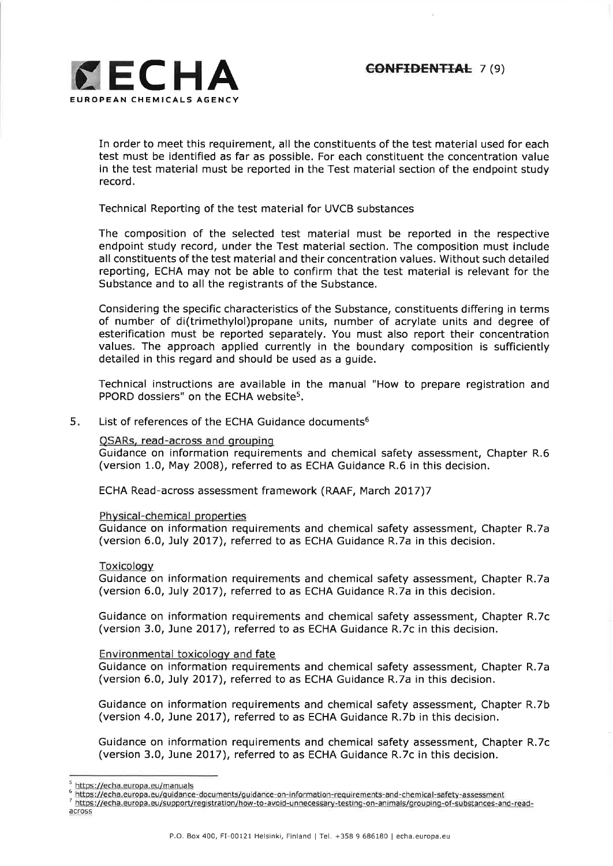

In order to meet this requirement, all the constituents of the test material used for each test must be identified as far as possible. For each constituent the concentration value in the test material must be reported in the Test material section of the endpoint study record.

Technical Reporting of the test material for UVCB substances

The composition of the selected test material must be reported in the respective endpoint study record, under the Test material section. The composition must include all constituents of the test material and their concentration values. Without such detailed reporting, ECHA may not be able to confirm that the test material is relevant for the Substance and to all the registrants of the Substance.

Considering the specific characteristics of the Substance, constituents differing in terms of number of di(trimethylol)propane units, number of acrylate units and degree of esterification must be reported separately. You must also report their concentration values. The approach applied currently in the boundary composition is sufficiently detailed in this regard and should be used as a guide.

Technical instructions are available in the manual "How to prepare registration and PPORD dossiers" on the ECHA website<sup>5</sup>.

List of references of the ECHA Guidance documents<sup>6</sup> 5

#### QSARs, read-across and grouping

Guidance on information requirements and chemical safety assessment, Chapter R.6 (version 1.0, May 2008), referred to as ECHA Guidance R.6 in this decision.

ECHA Read-across assessment framework (RAAF, March 2077)7

#### Physical-chemical properties

Guidance on information requirements and chemical safety assessment, Chapter R.7a (version 6,0, July 2077), referred to as ECHA Guidance R.7a in this decision.

#### Toxicologv

Guidance on information requirements and chemical safety assessment, Chapter R.7a (version 6.0, July 2OI7), referred to as ECHA Guidance R.7a in this decision.

Guidance on information requirements and chemical safety assessment, Chapter R.7c (version 3.0, June 2017), referred to as ECHA Guidance R.7c in this decision.

#### Environmental toxicology and fate

Guidance on information requirements and chemical safety assessment, Chapter R.7a (version 6.0, July 2017), referred to as ECHA Guidance R.7a in this decision.

Guidance on information requirements and chemical safety assessment, Chapter R.7b (version 4.0, June 2017), referred to as ECHA Guidance R.7b in this decision.

Guidance on information requirements and chemical safety assessment, Chapter R.7c (version 3.0, June 2Ol7), referred to as ECHA Guidance R,7c in this decision.

s httos ://echa.europa.eu/manuals

<sup>6</sup>https://echa.eurooa.eu/guidance-documents/ouidance-on-information-reouirements-and-chemical-safetv-assessment

<sup>7</sup>httos://echa.europa.eu/support/reoistration/how-to-avoid-unnecessarv-testing-on-animals/grouping-of-substances-and-read-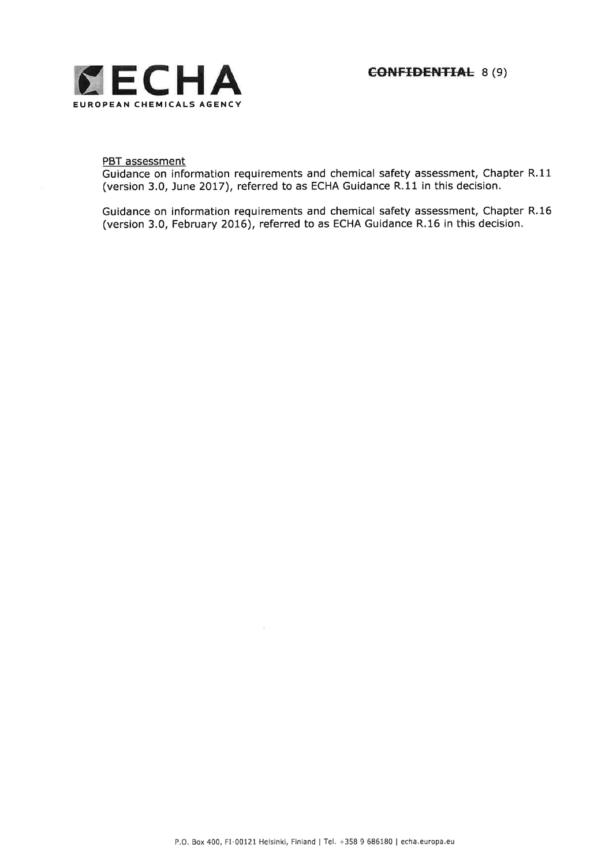

#### PBT assessment

Guidance on information requirements and chemical safety assessment, Chapter R.11 (version 3,0, June 2017), referred to as ECHA Guidance R,11 in this decision.

Guidance on information requirements and chemical safety assessment, Chapter R.16 (version 3.0, February 2016), referred to as ECHA Guidance R,16 in this decision.